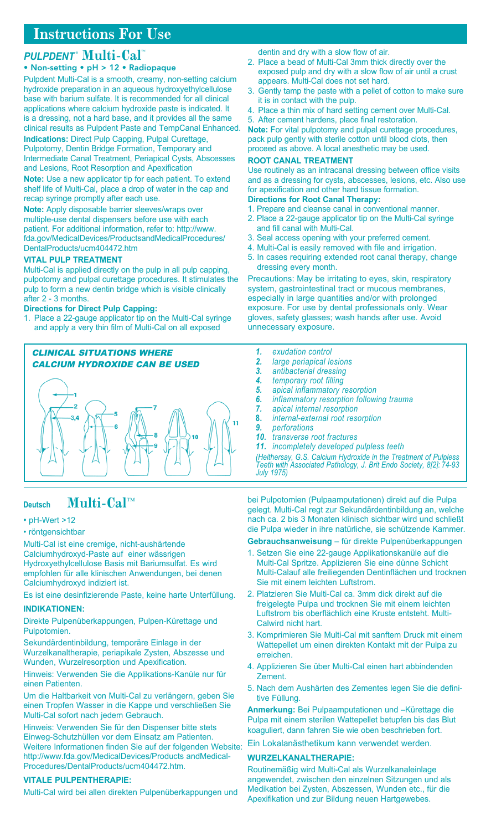# **Instructions For Use**

## *PULPDENT* ® **Multi-Cal™**

### • Non-setting • pH > 12 • Radiopaque

Pulpdent Multi-Cal is a smooth, creamy, non-setting calcium hydroxide preparation in an aqueous hydroxyethylcellulose base with barium sulfate. It is recommended for all clinical applications where calcium hydroxide paste is indicated. It is a dressing, not a hard base, and it provides all the same clinical results as Pulpdent Paste and TempCanal Enhanced. **Indications:** Direct Pulp Capping, Pulpal Curettage,

Pulpotomy, Dentin Bridge Formation, Temporary and Intermediate Canal Treatment, Periapical Cysts, Abscesses and Lesions, Root Resorption and Apexification

**Note:** Use a new applicator tip for each patient. To extend shelf life of Multi-Cal, place a drop of water in the cap and recap syringe promptly after each use.

**Note:** Apply disposable barrier sleeves/wraps over multiple-use dental dispensers before use with each patient. For additional information, refer to: http://www. .<br>fda.gov/MedicalDevices/ProductsandMedicalProcedures/ DentalProducts/ucm404472.htm

## **Vital Pulp Treatment**

Multi-Cal is applied directly on the pulp in all pulp capping, pulpotomy and pulpal curettage procedures. It stimulates the pulp to form a new dentin bridge which is visible clinically after 2 - 3 months.

## **Directions for Direct Pulp Capping:**

1. Place a 22-gauge applicator tip on the Multi-Cal syringe and apply a very thin film of Multi-Cal on all exposed

#### CLINICAL SITUATIONS WHERE CALCIUM HYDROXIDE CAN BE USED



## **Deutsch Multi-Cal™**

## • pH-Wert >12

#### • röntgensichtbar

Multi-Cal ist eine cremige, nicht-aushärtende Calciumhydroxyd-Paste auf einer wässrigen Hydroxyethylcellulose Basis mit Bariumsulfat. Es wird empfohlen für alle klinischen Anwendungen, bei denen Calciumhydroxyd indiziert ist.

Es ist eine desinfizierende Paste, keine harte Unterfüllung.

#### **Indikationen:**

Direkte Pulpenüberkappungen, Pulpen-Kürettage und Pulpotomien.

Sekundärdentinbildung, temporäre Einlage in der Wurzelkanaltherapie, periapikale Zysten, Abszesse und Wunden, Wurzelresorption und Apexification.

Hinweis: Verwenden Sie die Applikations-Kanüle nur für einen Patienten.

Um die Haltbarkeit von Multi-Cal zu verlängern, geben Sie einen Tropfen Wasser in die Kappe und verschließen Sie Multi-Cal sofort nach jedem Gebrauch.

Hinweis: Verwenden Sie für den Dispenser bitte stets Einweg-Schutzhüllen vor dem Einsatz am Patienten. Weitere Informationen finden Sie auf der folgenden Website: http://www.fda.gov/MedicalDevices/Products andMedical-Procedures/DentalProducts/ucm404472.htm.

#### **Vitale Pulpentherapie:**

Multi-Cal wird bei allen direkten Pulpenüberkappungen und

dentin and dry with a slow flow of air.

- 2. Place a bead of Multi-Cal 3mm thick directly over the exposed pulp and dry with a slow flow of air until a crust appears. Multi-Cal does not set hard.
- 3. Gently tamp the paste with a pellet of cotton to make sure it is in contact with the pulp.
- 4. Place a thin mix of hard setting cement over Multi-Cal. 5. After cement hardens, place final restoration.

**Note:** For vital pulpotomy and pulpal curettage procedures, pack pulp gently with sterile cotton until blood clots, then proceed as above. A local anesthetic may be used.

### **Root Canal Treatment**

Use routinely as an intracanal dressing between office visits and as a dressing for cysts, abscesses, lesions, etc. Also use for apexification and other hard tissue formation. **Directions for Root Canal Therapy:**

### 1. Prepare and cleanse canal in conventional manner.

- 2. Place a 22-gauge applicator tip on the Multi-Cal syringe and fill canal with Multi-Cal.
- 3. Seal access opening with your preferred cement.
- 4. Multi-Cal is easily removed with file and irrigation.
- 5. In cases requiring extended root canal therapy, change dressing every month.

Precautions: May be irritating to eyes, skin, respiratory system, gastrointestinal tract or mucous membranes, especially in large quantities and/or with prolonged exposure. For use by dental professionals only. Wear gloves, safety glasses; wash hands after use. Avoid unnecessary exposure.

- *1. exudation control*
- *2. large periapical lesions*
- *3. antibacterial dressing*
- *4. temporary root filling*
- *5. apical inflammatory resorption*
- *6. inflammatory resorption following trauma*
- *7. apical internal resorption*
- **8.** *internal-external root resorption*
- *9. perforations*
- $rac{1}{2}$ *transverse root fractures*
- *11. incompletely developed pulpless teeth*

*(Heithersay, G.S. Calcium Hydroxide in the Treatment of Pulpless Teeth with Associated Pathology, J. Brit Endo Society, 8[2]: 74-93 July 1975)*

bei Pulpotomien (Pulpaamputationen) direkt auf die Pulpa gelegt. Multi-Cal regt zur Sekundärdentinbildung an, welche nach ca. 2 bis 3 Monaten klinisch sichtbar wird und schließt die Pulpa wieder in ihre natürliche, sie schützende Kammer.

### **Gebrauchsanweisung** – für direkte Pulpenüberkappungen

- 1. Setzen Sie eine 22-gauge Applikationskanüle auf die Multi-Cal Spritze. Applizieren Sie eine dünne Schicht Multi-Calauf alle freiliegenden Dentinflächen und trocknen Sie mit einem leichten Luftstrom.
- 2. Platzieren Sie Multi-Cal ca. 3mm dick direkt auf die freigelegte Pulpa und trocknen Sie mit einem leichten Luftstrom bis oberflächlich eine Kruste entsteht. Multi-Calwird nicht hart.
- 3. Komprimieren Sie Multi-Cal mit sanftem Druck mit einem Wattepellet um einen direkten Kontakt mit der Pulpa zu erreichen.
- 4. Applizieren Sie über Multi-Cal einen hart abbindenden Zement.
- 5. Nach dem Aushärten des Zementes legen Sie die definitive Füllung.

**Anmerkung:** Bei Pulpaamputationen und –Kürettage die Pulpa mit einem sterilen Wattepellet betupfen bis das Blut koaguliert, dann fahren Sie wie oben beschrieben fort.

Ein Lokalanästhetikum kann verwendet werden.

#### **Wurzelkanaltherapie:**

Routinemäßig wird Multi-Cal als Wurzelkanaleinlage angewendet, zwischen den einzelnen Sitzungen und als Medikation bei Zysten, Abszessen, Wunden etc., für die Apexifikation und zur Bildung neuen Hartgewebes.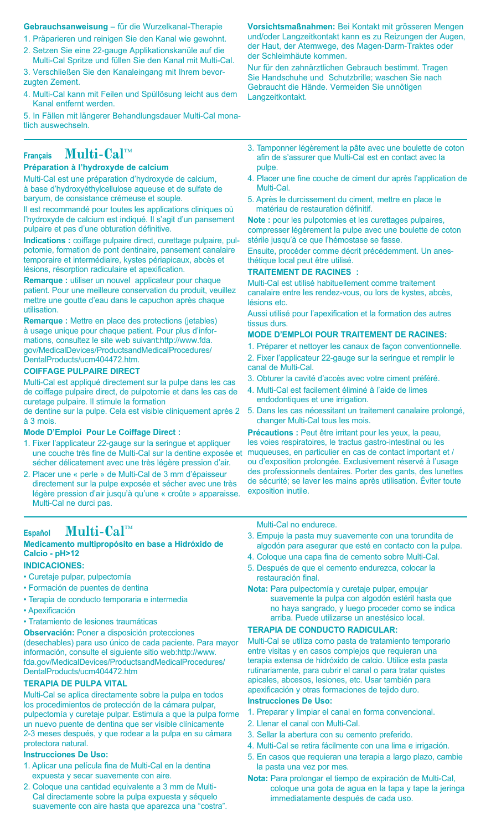#### **Gebrauchsanweisung** – für die Wurzelkanal-Therapie

- 1. Präparieren und reinigen Sie den Kanal wie gewohnt.
- 2. Setzen Sie eine 22-gauge Applikationskanüle auf die Multi-Cal Spritze und füllen Sie den Kanal mit Multi-Cal.
- 3. Verschließen Sie den Kanaleingang mit Ihrem bevorzugten Zement.
- 4. Multi-Cal kann mit Feilen und Spüllösung leicht aus dem Kanal entfernt werden.
- 5. In Fällen mit längerer Behandlungsdauer Multi-Cal monatlich auswechseln.

## **Français Multi-Cal™**

## **Préparation à l'hydroxyde de calcium**

Multi-Cal est une préparation d'hydroxyde de calcium, à base d'hydroxyéthylcellulose aqueuse et de sulfate de baryum, de consistance crémeuse et souple.

Il est recommandé pour toutes les applications cliniques où l'hydroxyde de calcium est indiqué. Il s'agit d'un pansement pulpaire et pas d'une obturation définitive.

**Indications :** coiffage pulpaire direct, curettage pulpaire, pulpotomie, formation de pont dentinaire, pansement canalaire temporaire et intermédiaire, kystes périapicaux, abcès et lésions, résorption radiculaire et apexification.

**Remarque :** utiliser un nouvel applicateur pour chaque patient. Pour une meilleure conservation du produit, veuillez mettre une goutte d'eau dans le capuchon après chaque utilisation.

**Remarque :** Mettre en place des protections (jetables) à usage unique pour chaque patient. Pour plus d'informations, consultez le site web suivant:http://www.fda. gov/MedicalDevices/ProductsandMedicalProcedures/ DentalProducts/ucm404472.htm.

#### **COIFFAGE PULPAIRE DIRECT**

Multi-Cal est appliqué directement sur la pulpe dans les cas de coiffage pulpaire direct, de pulpotomie et dans les cas de curetage pulpaire. Il stimule la formation

de dentine sur la pulpe. Cela est visible cliniquement après 2 à 3 mois.

#### **Mode D'Emploi Pour Le Coiffage Direct :**

- 1. Fixer l'applicateur 22-gauge sur la seringue et appliquer une couche très fine de Multi-Cal sur la dentine exposée et sécher délicatement avec une très légère pression d'air.
- 2. Placer une « perle » de Multi-Cal de 3 mm d'épaisseur directement sur la pulpe exposée et sécher avec une très légère pression d'air jusqu'à qu'une « croûte » apparaisse. Multi-Cal ne durci pas.

## **Español Multi-Cal™**

#### **Medicamento multipropósito en base a Hidróxido de Calcio - pH>12**

#### **INDICACIONES:**

- Curetaje pulpar, pulpectomía
- Formación de puentes de dentina
- Terapia de conducto temporaria e intermedia
- Apexificación
- Tratamiento de lesiones traumáticas

**Observación:** Poner a disposición protecciones (desechables) para uso único de cada paciente. Para mayor información, consulte el siguiente sitio web:http://www. fda.gov/MedicalDevices/ProductsandMedicalProcedures/ DentalProducts/ucm404472.htm

#### **TERAPIA DE PULPA VITAL**

Multi-Cal se aplica directamente sobre la pulpa en todos los procedimientos de protección de la cámara pulpar, pulpectomía y curetaje pulpar. Estimula a que la pulpa forme un nuevo puente de dentina que ser visible clínicamente 2-3 meses después, y que rodear a la pulpa en su cámara protectora natural.

#### **Instrucciones De Uso:**

- 1. Aplicar una película fina de Multi-Cal en la dentina expuesta y secar suavemente con aire.
- 2. Coloque una cantidad equivalente a 3 mm de Multi-Cal directamente sobre la pulpa expuesta y séquelo suavemente con aire hasta que aparezca una "costra".

**Vorsichtsmaßnahmen:** Bei Kontakt mit grösseren Mengen und/oder Langzeitkontakt kann es zu Reizungen der Augen, der Haut, der Atemwege, des Magen-Darm-Traktes oder der Schleimhäute kommen.

Nur für den zahnärztlichen Gebrauch bestimmt. Tragen Sie Handschuhe und Schutzbrille; waschen Sie nach Gebraucht die Hände. Vermeiden Sie unnötigen Langzeitkontakt.

- 3. Tamponner légèrement la pâte avec une boulette de coton afin de s'assurer que Multi-Cal est en contact avec la pulpe.
- 4. Placer une fine couche de ciment dur après l'application de Multi-Cal.
- 5. Après le durcissement du ciment, mettre en place le matériau de restauration définitif.

**Note :** pour les pulpotomies et les curettages pulpaires, compresser légèrement la pulpe avec une boulette de coton stérile jusqu'à ce que l'hémostase se fasse.

Ensuite, procéder comme décrit précédemment. Un anesthétique local peut être utilisé.

#### **TRAITEMENT DE RACINES :**

Multi-Cal est utilisé habituellement comme traitement canalaire entre les rendez-vous, ou lors de kystes, abcès, lésions etc.

Aussi utilisé pour l'apexification et la formation des autres tissus durs.

#### **MODE D'EMPLOI pour traitement de racines:**

- 1. Préparer et nettoyer les canaux de façon conventionnelle.
- 2. Fixer l'applicateur 22-gauge sur la seringue et remplir le canal de Multi-Cal.
- 3. Obturer la cavité d'accès avec votre ciment préféré.
- 4. Multi-Cal est facilement éliminé à l'aide de limes endodontiques et une irrigation.
- 5. Dans les cas nécessitant un traitement canalaire prolongé, changer Multi-Cal tous les mois.

**Précautions :** Peut être irritant pour les yeux, la peau, les voies respiratoires, le tractus gastro-intestinal ou les muqueuses, en particulier en cas de contact important et / ou d'exposition prolongée. Exclusivement réservé à l'usage des professionnels dentaires. Porter des gants, des lunettes de sécurité; se laver les mains après utilisation. Éviter toute exposition inutile.

Multi-Cal no endurece.

- 3. Empuje la pasta muy suavemente con una torundita de algodón para asegurar que esté en contacto con la pulpa.
- 4. Coloque una capa fina de cemento sobre Multi-Cal.
- 5. Después de que el cemento endurezca, colocar la restauración final.

**Nota:** Para pulpectomía y curetaje pulpar, empujar suavemente la pulpa con algodón estéril hasta que no haya sangrado, y luego proceder como se indica arriba. Puede utilizarse un anestésico local.

#### **TERAPIA DE CONDUCTO RADICULAR:**

Multi-Cal se utiliza como pasta de tratamiento temporario entre visitas y en casos complejos que requieran una terapia extensa de hidróxido de calcio. Utilice esta pasta rutinariamente, para cubrir el canal o para tratar quistes apicales, abcesos, lesiones, etc. Usar también para apexificación y otras formaciones de tejido duro.

#### **Instrucciones De Uso:**

- 1. Preparar y limpiar el canal en forma convencional.
- 2. Llenar el canal con Multi-Cal.
- 3. Sellar la abertura con su cemento preferido.
- 4. Multi-Cal se retira fácilmente con una lima e irrigación.
- 5. En casos que requieran una terapia a largo plazo, cambie la pasta una vez por mes.
- **Nota:** Para prolongar el tiempo de expiración de Multi-Cal, coloque una gota de agua en la tapa y tape la jeringa immediatamente después de cada uso.